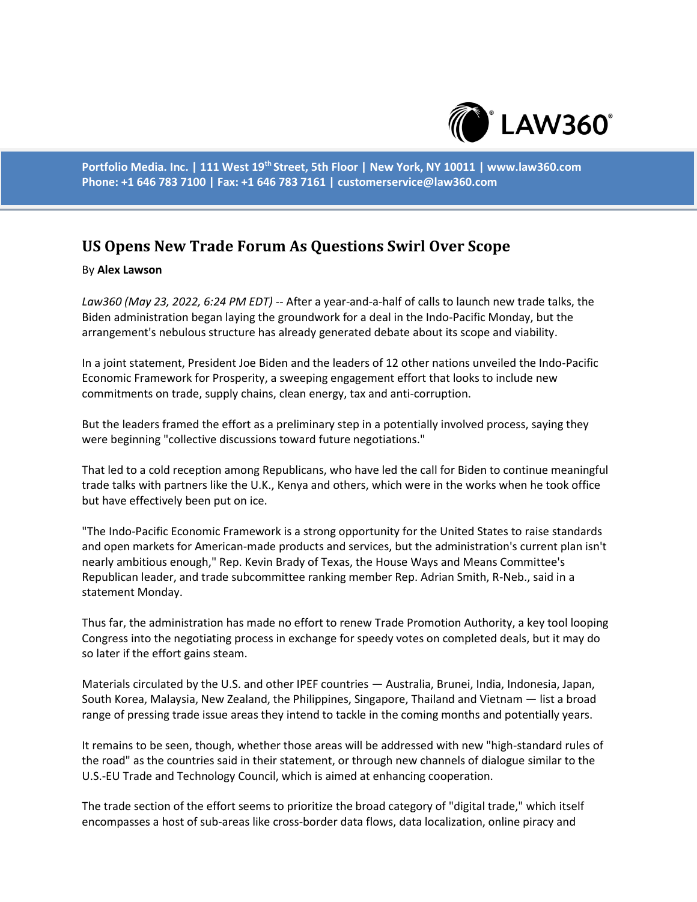

**Portfolio Media. Inc. | 111 West 19th Street, 5th Floor | New York, NY 10011 | www.law360.com Phone: +1 646 783 7100 | Fax: +1 646 783 7161 | customerservice@law360.com**

## **US Opens New Trade Forum As Questions Swirl Over Scope**

## By **Alex Lawson**

*Law360 (May 23, 2022, 6:24 PM EDT)* -- After a year-and-a-half of calls to launch new trade talks, the Biden administration began laying the groundwork for a deal in the Indo-Pacific Monday, but the arrangement's nebulous structure has already generated debate about its scope and viability.

In a joint statement, President Joe Biden and the leaders of 12 other nations unveiled the Indo-Pacific Economic Framework for Prosperity, a sweeping engagement effort that looks to include new commitments on trade, supply chains, clean energy, tax and anti-corruption.

But the leaders framed the effort as a preliminary step in a potentially involved process, saying they were beginning "collective discussions toward future negotiations."

That led to a cold reception among Republicans, who have led the call for Biden to continue meaningful trade talks with partners like the U.K., Kenya and others, which were in the works when he took office but have effectively been put on ice.

"The Indo-Pacific Economic Framework is a strong opportunity for the United States to raise standards and open markets for American-made products and services, but the administration's current plan isn't nearly ambitious enough," Rep. Kevin Brady of Texas, the House Ways and Means Committee's Republican leader, and trade subcommittee ranking member Rep. Adrian Smith, R-Neb., said in a statement Monday.

Thus far, the administration has made no effort to renew Trade Promotion Authority, a key tool looping Congress into the negotiating process in exchange for speedy votes on completed deals, but it may do so later if the effort gains steam.

Materials circulated by the U.S. and other IPEF countries — Australia, Brunei, India, Indonesia, Japan, South Korea, Malaysia, New Zealand, the Philippines, Singapore, Thailand and Vietnam — list a broad range of pressing trade issue areas they intend to tackle in the coming months and potentially years.

It remains to be seen, though, whether those areas will be addressed with new "high-standard rules of the road" as the countries said in their statement, or through new channels of dialogue similar to the U.S.-EU Trade and Technology Council, which is aimed at enhancing cooperation.

The trade section of the effort seems to prioritize the broad category of "digital trade," which itself encompasses a host of sub-areas like cross-border data flows, data localization, online piracy and